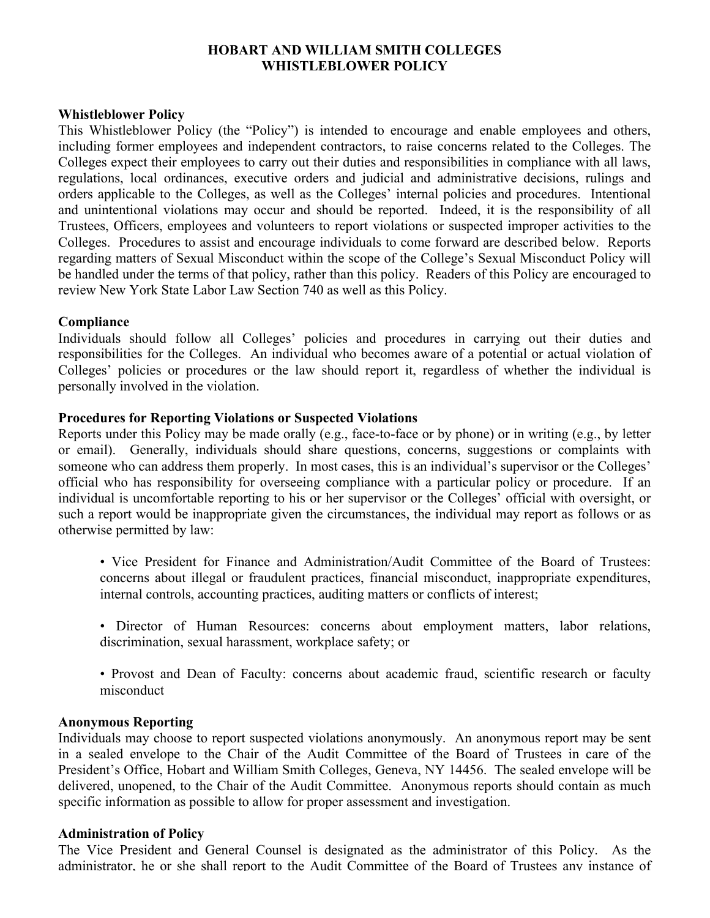# **HOBART AND WILLIAM SMITH COLLEGES WHISTLEBLOWER POLICY**

### **Whistleblower Policy**

This Whistleblower Policy (the "Policy") is intended to encourage and enable employees and others, including former employees and independent contractors, to raise concerns related to the Colleges. The Colleges expect their employees to carry out their duties and responsibilities in compliance with all laws, regulations, local ordinances, executive orders and judicial and administrative decisions, rulings and orders applicable to the Colleges, as well as the Colleges' internal policies and procedures. Intentional and unintentional violations may occur and should be reported. Indeed, it is the responsibility of all Trustees, Officers, employees and volunteers to report violations or suspected improper activities to the Colleges. Procedures to assist and encourage individuals to come forward are described below. Reports regarding matters of Sexual Misconduct within the scope of the College's Sexual Misconduct Policy will be handled under the terms of that policy, rather than this policy. Readers of this Policy are encouraged to review New York State Labor Law Section 740 as well as this Policy.

### **Compliance**

Individuals should follow all Colleges' policies and procedures in carrying out their duties and responsibilities for the Colleges. An individual who becomes aware of a potential or actual violation of Colleges' policies or procedures or the law should report it, regardless of whether the individual is personally involved in the violation.

### **Procedures for Reporting Violations or Suspected Violations**

Reports under this Policy may be made orally (e.g., face-to-face or by phone) or in writing (e.g., by letter or email). Generally, individuals should share questions, concerns, suggestions or complaints with someone who can address them properly. In most cases, this is an individual's supervisor or the Colleges' official who has responsibility for overseeing compliance with a particular policy or procedure. If an individual is uncomfortable reporting to his or her supervisor or the Colleges' official with oversight, or such a report would be inappropriate given the circumstances, the individual may report as follows or as otherwise permitted by law:

- Vice President for Finance and Administration/Audit Committee of the Board of Trustees: concerns about illegal or fraudulent practices, financial misconduct, inappropriate expenditures, internal controls, accounting practices, auditing matters or conflicts of interest;
- Director of Human Resources: concerns about employment matters, labor relations, discrimination, sexual harassment, workplace safety; or
- Provost and Dean of Faculty: concerns about academic fraud, scientific research or faculty misconduct

#### **Anonymous Reporting**

Individuals may choose to report suspected violations anonymously. An anonymous report may be sent in a sealed envelope to the Chair of the Audit Committee of the Board of Trustees in care of the President's Office, Hobart and William Smith Colleges, Geneva, NY 14456. The sealed envelope will be delivered, unopened, to the Chair of the Audit Committee. Anonymous reports should contain as much specific information as possible to allow for proper assessment and investigation.

#### **Administration of Policy**

The Vice President and General Counsel is designated as the administrator of this Policy. As the administrator, he or she shall report to the Audit Committee of the Board of Trustees any instance of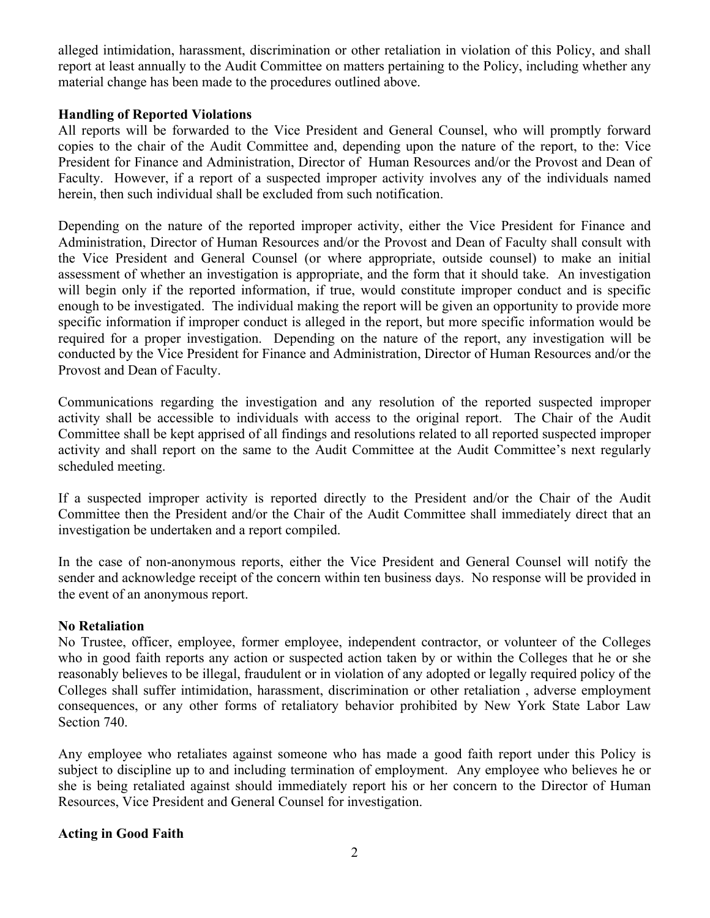alleged intimidation, harassment, discrimination or other retaliation in violation of this Policy, and shall report at least annually to the Audit Committee on matters pertaining to the Policy, including whether any material change has been made to the procedures outlined above.

# **Handling of Reported Violations**

All reports will be forwarded to the Vice President and General Counsel, who will promptly forward copies to the chair of the Audit Committee and, depending upon the nature of the report, to the: Vice President for Finance and Administration, Director of Human Resources and/or the Provost and Dean of Faculty. However, if a report of a suspected improper activity involves any of the individuals named herein, then such individual shall be excluded from such notification.

Depending on the nature of the reported improper activity, either the Vice President for Finance and Administration, Director of Human Resources and/or the Provost and Dean of Faculty shall consult with the Vice President and General Counsel (or where appropriate, outside counsel) to make an initial assessment of whether an investigation is appropriate, and the form that it should take. An investigation will begin only if the reported information, if true, would constitute improper conduct and is specific enough to be investigated. The individual making the report will be given an opportunity to provide more specific information if improper conduct is alleged in the report, but more specific information would be required for a proper investigation. Depending on the nature of the report, any investigation will be conducted by the Vice President for Finance and Administration, Director of Human Resources and/or the Provost and Dean of Faculty.

Communications regarding the investigation and any resolution of the reported suspected improper activity shall be accessible to individuals with access to the original report. The Chair of the Audit Committee shall be kept apprised of all findings and resolutions related to all reported suspected improper activity and shall report on the same to the Audit Committee at the Audit Committee's next regularly scheduled meeting.

If a suspected improper activity is reported directly to the President and/or the Chair of the Audit Committee then the President and/or the Chair of the Audit Committee shall immediately direct that an investigation be undertaken and a report compiled.

In the case of non-anonymous reports, either the Vice President and General Counsel will notify the sender and acknowledge receipt of the concern within ten business days. No response will be provided in the event of an anonymous report.

## **No Retaliation**

No Trustee, officer, employee, former employee, independent contractor, or volunteer of the Colleges who in good faith reports any action or suspected action taken by or within the Colleges that he or she reasonably believes to be illegal, fraudulent or in violation of any adopted or legally required policy of the Colleges shall suffer intimidation, harassment, discrimination or other retaliation , adverse employment consequences, or any other forms of retaliatory behavior prohibited by New York State Labor Law Section 740.

Any employee who retaliates against someone who has made a good faith report under this Policy is subject to discipline up to and including termination of employment. Any employee who believes he or she is being retaliated against should immediately report his or her concern to the Director of Human Resources, Vice President and General Counsel for investigation.

## **Acting in Good Faith**